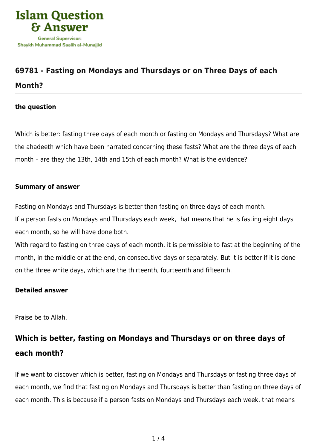

# **[69781 - Fasting on Mondays and Thursdays or on Three Days of each](https://islamqa.com/en/answers/69781/fasting-on-mondays-and-thursdays-or-on-three-days-of-each-month) [Month?](https://islamqa.com/en/answers/69781/fasting-on-mondays-and-thursdays-or-on-three-days-of-each-month)**

### **the question**

Which is better: fasting three days of each month or fasting on Mondays and Thursdays? What are the ahadeeth which have been narrated concerning these fasts? What are the three days of each month – are they the 13th, 14th and 15th of each month? What is the evidence?

### **Summary of answer**

Fasting on Mondays and Thursdays is better than fasting on three days of each month.

If a person fasts on Mondays and Thursdays each week, that means that he is fasting eight days each month, so he will have done both.

With regard to fasting on three days of each month, it is permissible to fast at the beginning of the month, in the middle or at the end, on consecutive days or separately. But it is better if it is done on the three white days, which are the thirteenth, fourteenth and fifteenth.

### **Detailed answer**

Praise be to Allah.

## **Which is better, fasting on Mondays and Thursdays or on three days of each month?**

If we want to discover which is better, fasting on Mondays and Thursdays or fasting three days of each month, we find that fasting on Mondays and Thursdays is better than fasting on three days of each month. This is because if a person fasts on Mondays and Thursdays each week, that means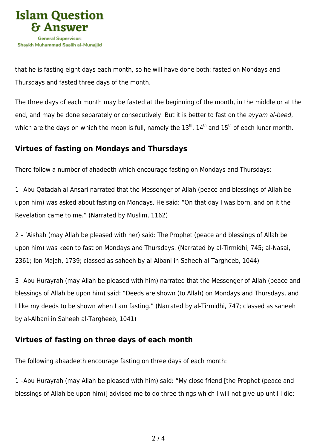

that he is fasting eight days each month, so he will have done both: fasted on Mondays and Thursdays and fasted three days of the month.

The three days of each month may be fasted at the beginning of the month, in the middle or at the end, and may be done separately or consecutively. But it is better to fast on the ayyam al-beed, which are the days on which the moon is full, namely the  $13^{th}$ ,  $14^{th}$  and  $15^{th}$  of each lunar month.

## **Virtues of fasting on Mondays and Thursdays**

There follow a number of ahadeeth which encourage fasting on Mondays and Thursdays:

1 –Abu Qatadah al-Ansari narrated that the Messenger of Allah (peace and blessings of Allah be upon him) was asked about fasting on Mondays. He said: "On that day I was born, and on it the Revelation came to me." (Narrated by Muslim, 1162)

2 – 'Aishah (may Allah be pleased with her) said: The Prophet (peace and blessings of Allah be upon him) was keen to fast on Mondays and Thursdays. (Narrated by al-Tirmidhi, 745; al-Nasai, 2361; Ibn Majah, 1739; classed as saheeh by al-Albani in Saheeh al-Targheeb, 1044)

3 –Abu Hurayrah (may Allah be pleased with him) narrated that the Messenger of Allah (peace and blessings of Allah be upon him) said: "Deeds are shown (to Allah) on Mondays and Thursdays, and I like my deeds to be shown when I am fasting." (Narrated by al-Tirmidhi, 747; classed as saheeh by al-Albani in Saheeh al-Targheeb, 1041)

## **Virtues of fasting on three days of each month**

The following ahaadeeth encourage fasting on three days of each month:

1 –Abu Hurayrah (may Allah be pleased with him) said: "My close friend [the Prophet (peace and blessings of Allah be upon him)] advised me to do three things which I will not give up until I die: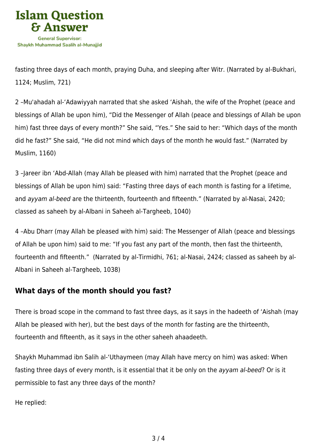

fasting three days of each month, praying Duha, and sleeping after Witr. (Narrated by al-Bukhari, 1124; Muslim, 721)

2 –Mu'ahadah al-'Adawiyyah narrated that she asked 'Aishah, the wife of the Prophet (peace and blessings of Allah be upon him), "Did the Messenger of Allah (peace and blessings of Allah be upon him) fast three days of every month?" She said, "Yes." She said to her: "Which days of the month did he fast?" She said, "He did not mind which days of the month he would fast." (Narrated by Muslim, 1160)

3 –Jareer ibn 'Abd-Allah (may Allah be pleased with him) narrated that the Prophet (peace and blessings of Allah be upon him) said: "Fasting three days of each month is fasting for a lifetime, and ayyam al-beed are the thirteenth, fourteenth and fifteenth." (Narrated by al-Nasai, 2420; classed as saheeh by al-Albani in Saheeh al-Targheeb, 1040)

4 –Abu Dharr (may Allah be pleased with him) said: The Messenger of Allah (peace and blessings of Allah be upon him) said to me: "If you fast any part of the month, then fast the thirteenth, fourteenth and fifteenth." (Narrated by al-Tirmidhi, 761; al-Nasai, 2424; classed as saheeh by al-Albani in Saheeh al-Targheeb, 1038)

## **What days of the month should you fast?**

There is broad scope in the command to fast three days, as it says in the hadeeth of 'Aishah (may Allah be pleased with her), but the best days of the month for fasting are the thirteenth, fourteenth and fifteenth, as it says in the other saheeh ahaadeeth.

Shaykh Muhammad ibn Salih al-'Uthaymeen (may Allah have mercy on him) was asked: When fasting three days of every month, is it essential that it be only on the ayyam al-beed? Or is it permissible to fast any three days of the month?

He replied: